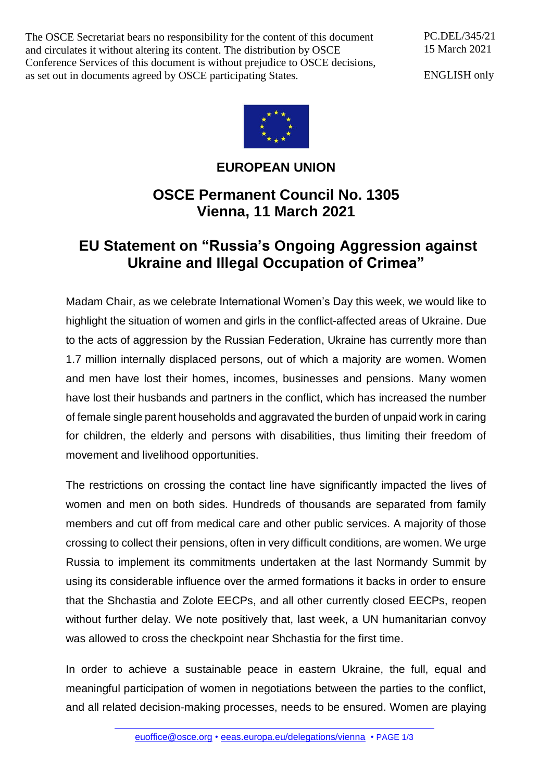The OSCE Secretariat bears no responsibility for the content of this document and circulates it without altering its content. The distribution by OSCE Conference Services of this document is without prejudice to OSCE decisions, as set out in documents agreed by OSCE participating States.

PC.DEL/345/21 15 March 2021

ENGLISH only



## **EUROPEAN UNION**

## **OSCE Permanent Council No. 1305 Vienna, 11 March 2021**

## **EU Statement on "Russia's Ongoing Aggression against Ukraine and Illegal Occupation of Crimea"**

Madam Chair, as we celebrate International Women's Day this week, we would like to highlight the situation of women and girls in the conflict-affected areas of Ukraine. Due to the acts of aggression by the Russian Federation, Ukraine has currently more than 1.7 million internally displaced persons, out of which a majority are women. Women and men have lost their homes, incomes, businesses and pensions. Many women have lost their husbands and partners in the conflict, which has increased the number of female single parent households and aggravated the burden of unpaid work in caring for children, the elderly and persons with disabilities, thus limiting their freedom of movement and livelihood opportunities.

The restrictions on crossing the contact line have significantly impacted the lives of women and men on both sides. Hundreds of thousands are separated from family members and cut off from medical care and other public services. A majority of those crossing to collect their pensions, often in very difficult conditions, are women. We urge Russia to implement its commitments undertaken at the last Normandy Summit by using its considerable influence over the armed formations it backs in order to ensure that the Shchastia and Zolote EECPs, and all other currently closed EECPs, reopen without further delay. We note positively that, last week, a UN humanitarian convoy was allowed to cross the checkpoint near Shchastia for the first time.

In order to achieve a sustainable peace in eastern Ukraine, the full, equal and meaningful participation of women in negotiations between the parties to the conflict, and all related decision-making processes, needs to be ensured. Women are playing

[euoffice@osce.org](mailto:euoffice@osce.org) • [eeas.europa.eu/delegations/vienna](http://eeas.europa.eu/delegations/vienna) • PAGE 1/3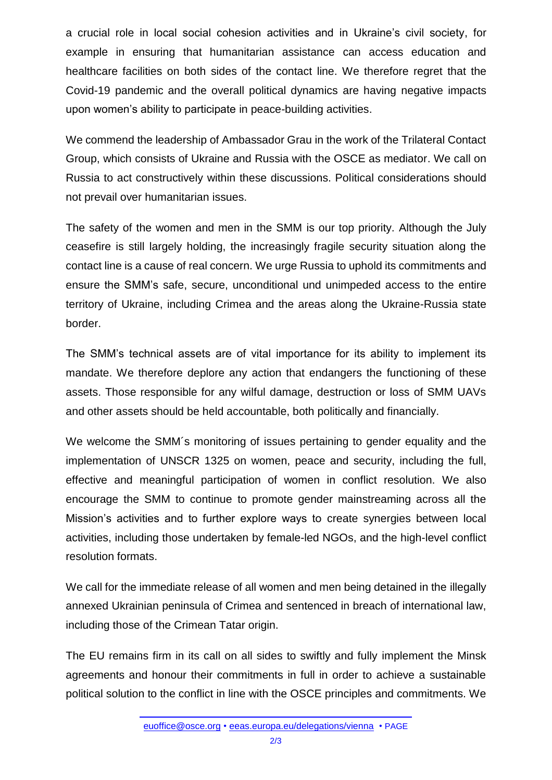a crucial role in local social cohesion activities and in Ukraine's civil society, for example in ensuring that humanitarian assistance can access education and healthcare facilities on both sides of the contact line. We therefore regret that the Covid-19 pandemic and the overall political dynamics are having negative impacts upon women's ability to participate in peace-building activities.

We commend the leadership of Ambassador Grau in the work of the Trilateral Contact Group, which consists of Ukraine and Russia with the OSCE as mediator. We call on Russia to act constructively within these discussions. Political considerations should not prevail over humanitarian issues.

The safety of the women and men in the SMM is our top priority. Although the July ceasefire is still largely holding, the increasingly fragile security situation along the contact line is a cause of real concern. We urge Russia to uphold its commitments and ensure the SMM's safe, secure, unconditional und unimpeded access to the entire territory of Ukraine, including Crimea and the areas along the Ukraine-Russia state border.

The SMM's technical assets are of vital importance for its ability to implement its mandate. We therefore deplore any action that endangers the functioning of these assets. Those responsible for any wilful damage, destruction or loss of SMM UAVs and other assets should be held accountable, both politically and financially.

We welcome the SMM's monitoring of issues pertaining to gender equality and the implementation of UNSCR 1325 on women, peace and security, including the full, effective and meaningful participation of women in conflict resolution. We also encourage the SMM to continue to promote gender mainstreaming across all the Mission's activities and to further explore ways to create synergies between local activities, including those undertaken by female-led NGOs, and the high-level conflict resolution formats.

We call for the immediate release of all women and men being detained in the illegally annexed Ukrainian peninsula of Crimea and sentenced in breach of international law, including those of the Crimean Tatar origin.

The EU remains firm in its call on all sides to swiftly and fully implement the Minsk agreements and honour their commitments in full in order to achieve a sustainable political solution to the conflict in line with the OSCE principles and commitments. We